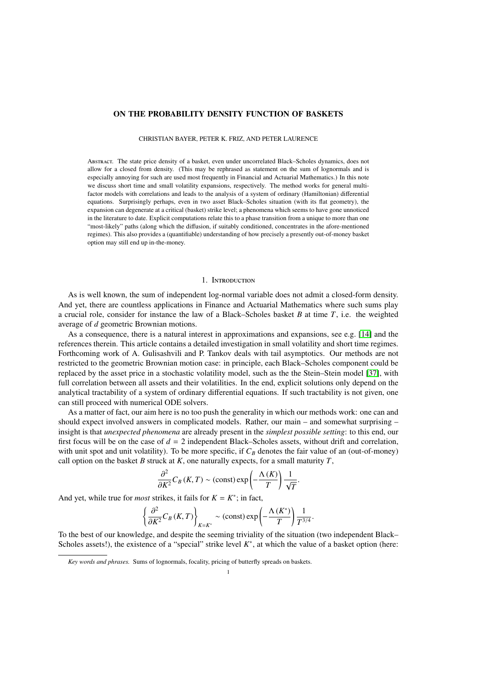# ON THE PROBABILITY DENSITY FUNCTION OF BASKETS

CHRISTIAN BAYER, PETER K. FRIZ, AND PETER LAURENCE

Abstract. The state price density of a basket, even under uncorrelated Black–Scholes dynamics, does not allow for a closed from density. (This may be rephrased as statement on the sum of lognormals and is especially annoying for such are used most frequently in Financial and Actuarial Mathematics.) In this note we discuss short time and small volatility expansions, respectively. The method works for general multifactor models with correlations and leads to the analysis of a system of ordinary (Hamiltonian) differential equations. Surprisingly perhaps, even in two asset Black–Scholes situation (with its flat geometry), the expansion can degenerate at a critical (basket) strike level; a phenomena which seems to have gone unnoticed in the literature to date. Explicit computations relate this to a phase transition from a unique to more than one "most-likely" paths (along which the diffusion, if suitably conditioned, concentrates in the afore-mentioned regimes). This also provides a (quantifiable) understanding of how precisely a presently out-of-money basket option may still end up in-the-money.

## 1. Introduction

As is well known, the sum of independent log-normal variable does not admit a closed-form density. And yet, there are countless applications in Finance and Actuarial Mathematics where such sums play a crucial role, consider for instance the law of a Black–Scholes basket *B* at time *T*, i.e. the weighted average of *d* geometric Brownian motions.

As a consequence, there is a natural interest in approximations and expansions, see e.g. [\[14\]](#page-14-0) and the references therein. This article contains a detailed investigation in small volatility and short time regimes. Forthcoming work of A. Gulisashvili and P. Tankov deals with tail asymptotics. Our methods are not restricted to the geometric Brownian motion case: in principle, each Black–Scholes component could be replaced by the asset price in a stochastic volatility model, such as the the Stein–Stein model [\[37\]](#page-16-0), with full correlation between all assets and their volatilities. In the end, explicit solutions only depend on the analytical tractability of a system of ordinary differential equations. If such tractability is not given, one can still proceed with numerical ODE solvers.

As a matter of fact, our aim here is no too push the generality in which our methods work: one can and should expect involved answers in complicated models. Rather, our main – and somewhat surprising – insight is that *unexpected phenomena* are already present in the *simplest possible setting*: to this end, our first focus will be on the case of  $d = 2$  independent Black–Scholes assets, without drift and correlation, with unit spot and unit volatility). To be more specific, if  $C_B$  denotes the fair value of an (out-of-money) call option on the basket *B* struck at *K*, one naturally expects, for a small maturity *T*,

$$
\frac{\partial^2}{\partial K^2} C_B(K,T) \sim \text{(const)} \exp\left(-\frac{\Lambda(K)}{T}\right) \frac{1}{\sqrt{T}}.
$$

 $\partial K^2 \circ b^{(1,1)}$  (conselled the position of *K* = *K*<sup>\*</sup>; in fact,

$$
\left\{\frac{\partial^2}{\partial K^2}C_B(K,T)\right\}_{K=K^*}\sim\left(\text{const}\right)\exp\left(-\frac{\Lambda(K^*)}{T}\right)\frac{1}{T^{3/4}}.
$$

 $\left(\frac{\partial K^2}{\partial t}\right)^{K^2}$   $\left(\frac{\partial K^2}{\partial t}\right)^{K^2}$  ( $\left(\frac{\partial K^2}{\partial t}\right)^{K^2}$   $\left(\frac{\partial K^2}{\partial t}\right)^{K^2}$   $\left(\frac{\partial K^2}{\partial t}\right)^{K^2}$   $\left(\frac{\partial K^2}{\partial t}\right)^{K^2}$   $\left(\frac{\partial K^2}{\partial t}\right)^{K^2}$   $\left(\frac{\partial K^2}{\partial t}\right)^{K^2}$   $\left(\frac{\partial K^2}{\partial t}\right)^{K^2}$   $\left(\$ Scholes assets!), the existence of a "special" strike level  $K^*$ , at which the value of a basket option (here:

*Key words and phrases.* Sums of lognormals, focality, pricing of butterfly spreads on baskets.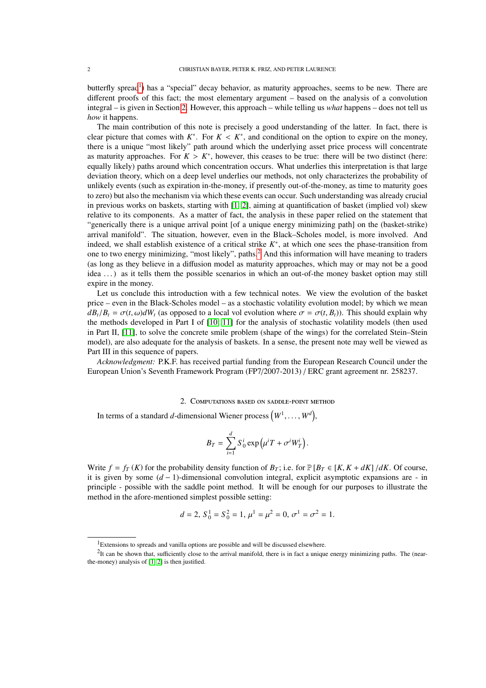butterfly spread<sup>[1](#page-1-0)</sup>) has a "special" decay behavior, as maturity approaches, seems to be new. There are different proofs of this fact; the most elementary argument – based on the analysis of a convolution integral – is given in Section [2.](#page-1-1) However, this approach – while telling us *what* happens – does not tell us *how* it happens.

The main contribution of this note is precisely a good understanding of the latter. In fact, there is clear picture that comes with  $K^*$ . For  $K < K^*$ , and conditional on the option to expire on the money, there is a unique "most likely" path around which the underlying asset price process will concentrate there is a unique "most likely" path around which the underlying asset price process will concentrate as maturity approaches. For  $K > K^*$ , however, this ceases to be true: there will be two distinct (here: equally likely) paths around which concentration occurs. What underlies this interpretation is that large equally likely) paths around which concentration occurs. What underlies this interpretation is that large deviation theory, which on a deep level underlies our methods, not only characterizes the probability of unlikely events (such as expiration in-the-money, if presently out-of-the-money, as time to maturity goes to zero) but also the mechanism via which these events can occur. Such understanding was already crucial in previous works on baskets, starting with [\[1,](#page-13-0) [2\]](#page-13-1), aiming at quantification of basket (implied vol) skew relative to its components. As a matter of fact, the analysis in these paper relied on the statement that "generically there is a unique arrival point [of a unique energy minimizing path] on the (basket-strike) arrival manifold". The situation, however, even in the Black–Scholes model, is more involved. And indeed, we shall establish existence of a critical strike  $K^*$ , at which one sees the phase-transition from one to two energy minimizing, "most likely", paths.[2](#page-1-2) And this information will have meaning to traders (as long as they believe in a diffusion model as maturity approaches, which may or may not be a good idea ...) as it tells them the possible scenarios in which an out-of-the money basket option may still expire in the money.

Let us conclude this introduction with a few technical notes. We view the evolution of the basket price – even in the Black-Scholes model – as a stochastic volatility evolution model; by which we mean  $dB_t/B_t = \sigma(t, \omega) dW_t$  (as opposed to a local vol evolution where  $\sigma = \sigma(t, B_t)$ ). This should explain why the methods developed in Part I of [\[10,](#page-14-1) [11\]](#page-14-2) for the analysis of stochastic volatility models (then used in Part II, [\[11\]](#page-14-2), to solve the concrete smile problem (shape of the wings) for the correlated Stein–Stein model), are also adequate for the analysis of baskets. In a sense, the present note may well be viewed as Part III in this sequence of papers.

*Acknowledgment:* P.K.F. has received partial funding from the European Research Council under the European Union's Seventh Framework Program (FP7/2007-2013) / ERC grant agreement nr. 258237.

## 2. Computations based on saddle-point method

<span id="page-1-1"></span>In terms of a standard *d*-dimensional Wiener process  $(W^1, \ldots, W^d)$ ,

$$
B_T = \sum_{i=1}^d S_0^i \exp\left(\mu^i T + \sigma^i W_T^i\right).
$$

Write  $f = f_T(K)$  for the probability density function of  $B_T$ ; i.e. for  $\mathbb{P}[B_T \in [K, K + dK] / dK$ . Of course, it is given by some (*d* − 1)-dimensional convolution integral, explicit asymptotic expansions are - in principle - possible with the saddle point method. It will be enough for our purposes to illustrate the method in the afore-mentioned simplest possible setting:

$$
d = 2
$$
,  $S_0^1 = S_0^2 = 1$ ,  $\mu^1 = \mu^2 = 0$ ,  $\sigma^1 = \sigma^2 = 1$ .

<span id="page-1-2"></span><span id="page-1-0"></span><sup>&</sup>lt;sup>1</sup>Extensions to spreads and vanilla options are possible and will be discussed elsewhere.

 ${}^{2}$ It can be shown that, sufficiently close to the arrival manifold, there is in fact a unique energy minimizing paths. The (nearthe-money) analysis of [\[1,](#page-13-0) [2\]](#page-13-1) is then justified.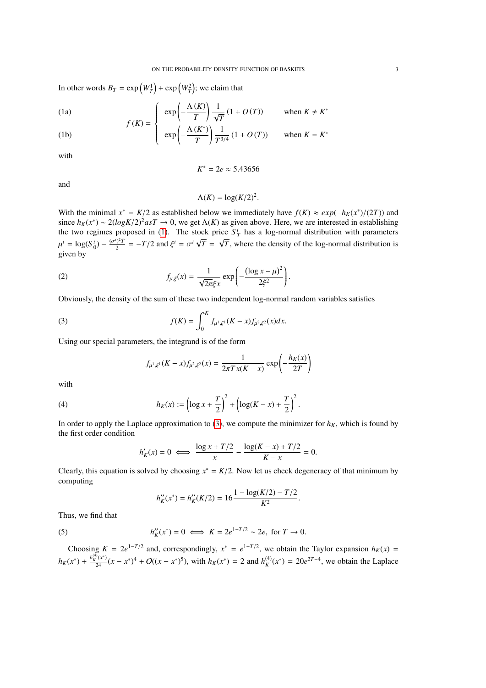In other words  $B_T = \exp\left(W_T^1\right) + \exp\left(W_T^2\right)$ ; we claim that

(1a) 
$$
f(K) = \begin{cases} exp\left(-\frac{\Lambda(K)}{T}\right) \frac{1}{\sqrt{T}} (1 + O(T)) & when K \neq K^* \\ \left(-\frac{\Lambda(K^*)}{T}\right) \frac{1}{\sqrt{T}} (1 + O(T)) & then H \neq K^* \end{cases}
$$

(1b) 
$$
\exp\left(-\frac{\Lambda(K^*)}{T}\right)\frac{1}{T^{3/4}}(1+O(T)) \text{ when } K = K^*
$$

with

<span id="page-2-0"></span>
$$
K^*=2e\approx 5.43656
$$

and

$$
\Lambda(K) = \log(K/2)^2
$$

With the minimal  $x^* = K/2$  as established below we immediately have  $f(K) \approx exp(-h_K(x^*)/(2T))$  and  $g_K(x^*) \approx 2(log K/2)^2 a s T \rightarrow 0$  we get  $\Lambda(K)$  as given above. Here we are interested in establishing since  $h_K(x^*) \sim 2(\log K/2)^2 asT \to 0$ , we get  $\Lambda(K)$  as given above. Here, we are interested in establishing the two regimes proposed in (1). The stock price  $S^i$  has a log-normal distribution with parameters the two regimes proposed in [\(1\)](#page-2-0). The stock price  $S_T^i$  has a log-normal distribution with parameters µ given by  $i = \log(S_0^i) - \frac{(\sigma^i)^2 T}{2}$  $\frac{d^2y^2T}{dt^2} = -T/2$  and  $\xi^i = \sigma^i \sqrt{2}$ *T* = √ *T*, where the density of the log-normal distribution is

(2) 
$$
f_{\mu,\xi}(x) = \frac{1}{\sqrt{2\pi}\xi x} \exp\left(-\frac{(\log x - \mu)^2}{2\xi^2}\right).
$$

Obviously, the density of the sum of these two independent log-normal random variables satisfies

(3) 
$$
f(K) = \int_0^K f_{\mu^1, \xi^1}(K - x) f_{\mu^2, \xi^2}(x) dx.
$$

Using our special parameters, the integrand is of the form

<span id="page-2-1"></span>
$$
f_{\mu^1, \xi^1}(K - x) f_{\mu^2, \xi^2}(x) = \frac{1}{2\pi T x (K - x)} \exp\left(-\frac{h_K(x)}{2T}\right)
$$

with

(4) 
$$
h_K(x) := \left(\log x + \frac{T}{2}\right)^2 + \left(\log(K - x) + \frac{T}{2}\right)^2.
$$

In order to apply the Laplace approximation to [\(3\)](#page-2-1), we compute the minimizer for  $h_K$ , which is found by the first order condition

$$
h'_K(x) = 0 \iff \frac{\log x + T/2}{x} - \frac{\log(K - x) + T/2}{K - x} = 0.
$$

Clearly, this equation is solved by choosing  $x^* = K/2$ . Now let us check degeneracy of that minimum by computing computing

$$
h''_K(x^*) = h''_K(K/2) = 16 \frac{1 - \log(K/2) - T/2}{K^2}.
$$

Thus, we find that

(5) 
$$
h''_K(x^*) = 0 \iff K = 2e^{1-T/2} \sim 2e
$$
, for  $T \to 0$ .

Choosing  $K = 2e^{1-T/2}$  and, correspondingly,  $x^* = e^{1-T/2}$ , we obtain the Taylor expansion  $h_K(x) =$  $h_K(x^*) + \frac{h_K^{(4)}(x^*)}{24}(x - x^*)^4 + O((x - x^*)^5)$ , with  $h_K(x^*) = 2$  and  $h_K^{(4)}(x^*) = 20e^{2T-4}$ , we obtain the Laplace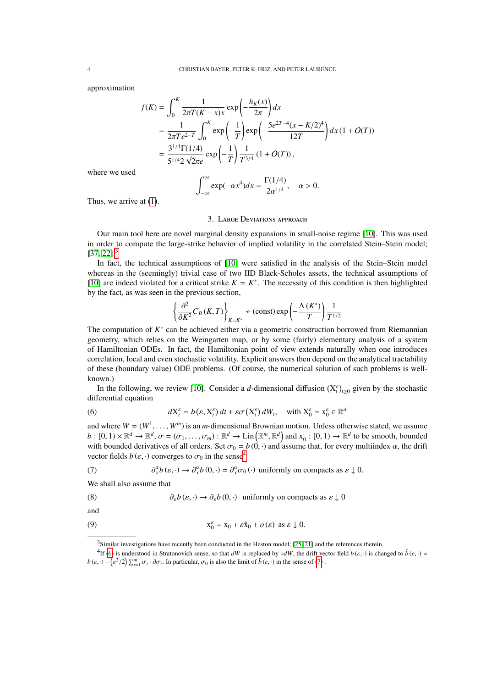approximation

$$
f(K) = \int_0^K \frac{1}{2\pi T(K - x)x} \exp\left(-\frac{h_K(x)}{2\pi}\right) dx
$$
  
=  $\frac{1}{2\pi Te^{2-T}} \int_0^K \exp\left(-\frac{1}{T}\right) \exp\left(-\frac{5e^{2T-4}(x - K/2)^4}{12T}\right) dx (1 + O(T))$   
=  $\frac{3^{1/4}\Gamma(1/4)}{5^{1/4}2\sqrt{2\pi e}} \exp\left(-\frac{1}{T}\right) \frac{1}{T^{3/4}} (1 + O(T)),$ 

where we used

$$
\int_{-\infty}^{\infty} \exp(-\alpha x^4) dx = \frac{\Gamma(1/4)}{2\alpha^{1/4}}, \quad \alpha > 0.
$$

<span id="page-3-6"></span>Thus, we arrive at [\(1\)](#page-2-0).

#### 3. Large Deviations approach

Our main tool here are novel marginal density expansions in small-noise regime [\[10\]](#page-14-1). This was used in order to compute the large-strike behavior of implied volatility in the correlated Stein–Stein model;  $[37, 22]$  $[37, 22]$ <sup>[3](#page-3-0)</sup>

In fact, the technical assumptions of [\[10\]](#page-14-1) were satisfied in the analysis of the Stein–Stein model whereas in the (seemingly) trivial case of two IID Black-Scholes assets, the technical assumptions of [\[10\]](#page-14-1) are indeed violated for a critical strike  $K = K^*$ . The necessity of this condition is then highlighted by the fact, as was seen in the previous section,

$$
\left\{\frac{\partial^2}{\partial K^2}C_B(K,T)\right\}_{K=K^*} \nsim (\text{const}) \exp\left(-\frac{\Lambda(K^*)}{T}\right) \frac{1}{T^{1/2}}
$$

The computation of *K*<sup>∗</sup> can be achieved either via a geometric construction borrowed from Riemannian geometry, which relies on the Weingarten map, or by some (fairly) elementary analysis of a system of Hamiltonian ODEs. In fact, the Hamiltonian point of view extends naturally when one introduces correlation, local and even stochastic volatility. Explicit answers then depend on the analytical tractability of these (boundary value) ODE problems. (Of course, the numerical solution of such problems is wellknown.)

In the following, we review [\[10\]](#page-14-1). Consider a *d*-dimensional diffusion  $(X_t^{\varepsilon})_{t\geq0}$  given by the stochastic differential equation

<span id="page-3-2"></span>(6) 
$$
dX_t^{\varepsilon} = b(\varepsilon, X_t^{\varepsilon}) dt + \varepsilon \sigma(X_t^{\varepsilon}) dW_t, \text{ with } X_0^{\varepsilon} = x_0^{\varepsilon} \in \mathbb{R}^d
$$

and where  $W = (W^1)$  $, \ldots, W^m$  is an *m*-dimensional Brownian motion. Unless otherwise stated, we assume  $\ell_{\sigma} = (\sigma_1, \ldots, \sigma_n) : \mathbb{R}^d \to \text{Lin}(\mathbb{R}^m \mathbb{R}^d)$  and  $x \to (0, 1) \to \mathbb{R}^d$  to be smooth, bounded  $b: [0, 1) \times \mathbb{R}^d \to \mathbb{R}^d$ ,  $\sigma = (\sigma_1, \dots, \sigma_m) : \mathbb{R}^d \to \text{Lin}(\mathbb{R}^m, \mathbb{R}^d)$  and  $x_0 : [0, 1) \to \mathbb{R}^d$  to be smooth, bounded<br>with bounded derivatives of all orders. Set  $\sigma_0 = b(0, \cdot)$  and assume that, for every mu with bounded derivatives of all orders. Set  $\sigma_0 = b(0, \cdot)$  and assume that, for every multiindex  $\alpha$ , the drift vector fields *b* ( $\varepsilon$ , ·) converges to  $\sigma_0$  in the sense<sup>[4](#page-3-1)</sup><br>(7)  $\frac{\partial^{\alpha} b(\varepsilon, \cdot) \rightarrow \partial^{\alpha} b(0, \cdot) = \partial^{\alpha} \sigma_0}{\partial \sigma_0}$ 

<span id="page-3-3"></span>(7) 
$$
\partial_x^{\alpha} b(\varepsilon, \cdot) \to \partial_x^{\alpha} b(0, \cdot) = \partial_x^{\alpha} \sigma_0(\cdot) \text{ uniformly on compacts as } \varepsilon \downarrow 0.
$$

We shall also assume that

<span id="page-3-4"></span>(8) 
$$
\partial_{\varepsilon} b(\varepsilon, \cdot) \to \partial_{\varepsilon} b(0, \cdot) \text{ uniformly on compacts as } \varepsilon \downarrow 0
$$

and

(9) 
$$
x_0^{\varepsilon} = x_0 + \varepsilon \hat{x}_0 + o(\varepsilon) \text{ as } \varepsilon \downarrow 0.
$$

<span id="page-3-5"></span><span id="page-3-1"></span><span id="page-3-0"></span><sup>3</sup>Similar investigations have recently been conducted in the Heston model; [\[25,](#page-15-1) [21\]](#page-15-2) and the references therein.

<sup>&</sup>lt;sup>4</sup>If [\(6\)](#page-3-2) is understood in Stratonovich sense, so that *dW* is replaced by ∘*dW*, the drift vector field *b*( $\varepsilon$ , ·) is changed to  $\tilde{b}(\varepsilon, \cdot) =$ <br>  $\frac{(\sqrt{2}/2)\sum_{m=-\infty}^m \Delta_m}{2\pi}$  In particular  $\pi$  is also the limit o  $b(\varepsilon, \cdot) - \left($  $\epsilon^2/2$ )  $\sum_{i=1}^m \sigma_i \cdot \partial \sigma_i$ . In particular,  $\sigma_0$  is also the limit of  $\tilde{b}(\epsilon, \cdot)$  in the sense of [\(7\)](#page-3-3).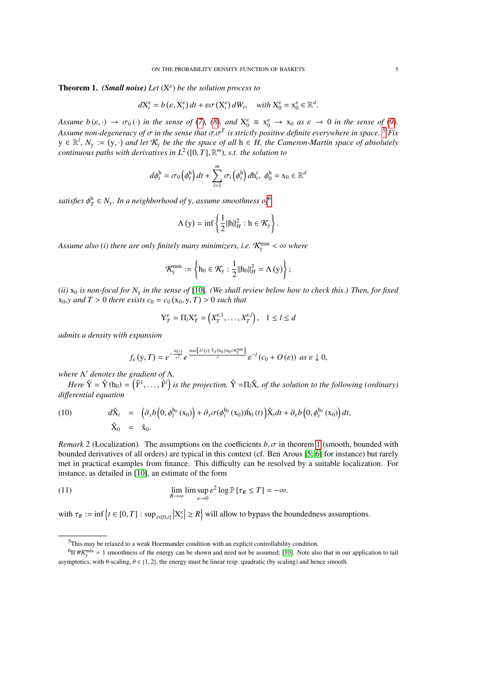<span id="page-4-2"></span>Theorem 1. *(Small noise) Let* (X ε ) *be the solution process to*

$$
dX_t^{\varepsilon} = b(\varepsilon, X_t^{\varepsilon}) dt + \varepsilon \sigma(X_t^{\varepsilon}) dW_t, \quad \text{with } X_0^{\varepsilon} = x_0^{\varepsilon} \in \mathbb{R}^d.
$$

*Assume b* ( $\varepsilon$ ,  $\cdot$ )  $\rightarrow \sigma_0$  ( $\cdot$ ) *in the sense of [\(7\)](#page-3-3)*, [\(8\)](#page-3-4), and  $X_0^{\varepsilon} \equiv x_0^{\varepsilon} \rightarrow x_0$  as  $\varepsilon \rightarrow 0$  *in the sense of [\(9\)](#page-3-5)*. *Assume non-degeneracy of*  $\sigma$  *in the sense that*  $\sigma.\sigma^T$  *is strictly positive definite everywhere in space.* <sup>[5](#page-4-0)</sup> *Fix*<br> $y \in \mathbb{R}^l$ ,  $N \to (y, y)$  and let  $K$ , he the the space of all  $b \in H$ , the Cameron-Martin space o  $y \in \mathbb{R}^l$ ,  $N_y := (y, \cdot)$  and let  $\mathcal{K}_y$  be the the space of all  $h \in H$ , the Cameron-Martin space of absolutely<br>continuous paths with derivatives in  $L^2$  (10 Tl  $\mathbb{R}^m$ ) s.t. the solution to *continuous paths with derivatives in L*<sup>2</sup> ([0, *<sup>T</sup>*],<sup>R</sup> *<sup>m</sup>*)*, s.t. the solution to*

$$
d\phi_t^{\mathrm{h}} = \sigma_0 \left( \phi_t^{\mathrm{h}} \right) dt + \sum_{i=1}^m \sigma_i \left( \phi_t^{\mathrm{h}} \right) d\mathsf{h}_t^i, \ \phi_0^{\mathrm{h}} = \mathsf{x}_0 \in \mathbb{R}^d
$$

satisfies  $\phi_T^{\text{h}} \in N_{\text{y}}$ *. In a neighborhood of y, assume smoothness of*<sup>[6](#page-4-1)</sup>

$$
\Lambda(y) = \inf \left\{ \frac{1}{2} ||h||_H^2 : h \in \mathcal{K}_y \right\}.
$$

Assume also (i) there are only finitely many minimizers, i.e.  $\mathcal{K}^{\min}_{y} < \infty$  where

$$
\mathcal{K}^{\min}_{y} := \left\{ h_0 \in \mathcal{K}_y : \frac{1}{2} ||h_0||_H^2 = \Lambda(y) \right\};
$$

*(ii)*  $x_0$  *is non-focal for*  $N_y$  *in the sense of* [\[10\]](#page-14-1)*. (We shall review below how to check this.) Then, for fixed*  $x_0, y$  *and*  $T > 0$  *there exists*  $c_0 = c_0(x_0, y, T) > 0$  *such that* 

$$
Y_T^{\varepsilon} = \Pi_l X_T^{\varepsilon} = \left(X_T^{\varepsilon,1}, \dots, X_T^{\varepsilon,l}\right), \quad 1 \le l \le d
$$

*admits a density with expansion*

$$
f_{\varepsilon}\left(y,T\right)=e^{-\frac{\Lambda(y)}{\varepsilon^2}}e^{\frac{\max\left\{\Lambda'\left(y\right)\cdot\hat{Y}_{T}\left(h_{0}\right):h_{0}\in\mathcal{K}_{y}^{\min}\right\}}{\varepsilon}}\varepsilon^{-l}\left(c_{0}+O\left(\varepsilon\right)\right)\;as\;\varepsilon\downarrow0,
$$

*where* Λ <sup>0</sup> *denotes the gradient of* Λ*.*

*Here*  $\hat{Y} = \hat{Y}$  (h<sub>0</sub>) =  $(\hat{Y}^1, \ldots, \hat{Y}^l)$  is the projection,  $\hat{Y} = \Pi_l \hat{X}$ , of the solution to the following (ordinary) *di*ff*erential equation*

(10) 
$$
d\hat{X}_t = \left(\partial_x b\left(0, \phi_t^{h_0}(x_0)\right) + \partial_x \sigma(\phi_t^{h_0}(x_0))\dot{h}_0(t)\right)\hat{X}_t dt + \partial_\varepsilon b\left(0, \phi_t^{h_0}(x_0)\right)dt, \n\hat{X}_0 = \hat{x}_0.
$$

*Remark* 2 (Localization). The assumptions on the coefficients  $b, \sigma$  in theorem [1](#page-4-2) (smooth, bounded with bounded derivatives of all orders) are typical in this context (cf. Ben Arous [\[5,](#page-14-3) [6\]](#page-14-4) for instance) but rarely met in practical examples from finance. This difficulty can be resolved by a suitable localization. For instance, as detailed in [\[10\]](#page-14-1), an estimate of the form

(11) 
$$
\lim_{R \to \infty} \lim \sup_{\varepsilon \to 0} \varepsilon^2 \log \mathbb{P} [\tau_R \leq T] = -\infty.
$$

with  $\tau_R := \inf \{ t \in [0, T] : \sup_{s \in [0, t]} |X_s^{\varepsilon}| \ge R \}$  will allow to bypass the boundedness assumptions.

<span id="page-4-1"></span><span id="page-4-0"></span><sup>5</sup>This may be relaxed to a weak Hoermander condition with an explicit controllability condition.

<sup>&</sup>lt;sup>6</sup>If  $\#K_y^{\min} = 1$  smoothness of the energy can be shown and need not be assumed; [\[10\]](#page-14-1). Note also that in our application to tail asymptotics, with  $\theta$ -scaling,  $\theta \in \{1, 2\}$ , the energy must be linear resp. quadratic (by scaling) and hence smooth.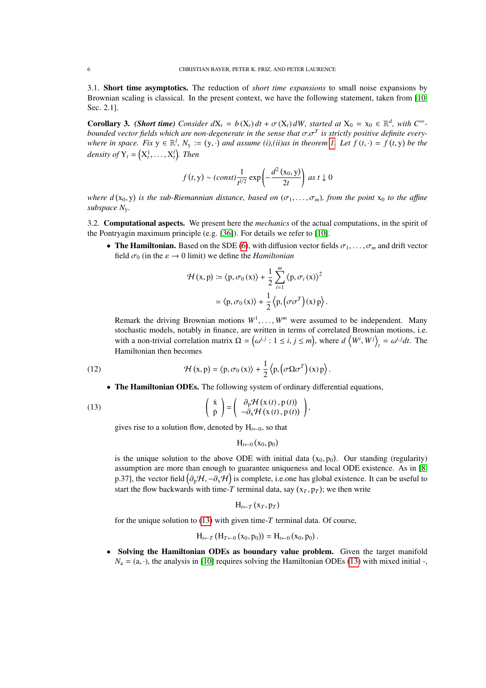3.1. Short time asymptotics. The reduction of *short time expansions* to small noise expansions by Brownian scaling is classical. In the present context, we have the following statement, taken from [\[10,](#page-14-1) Sec. 2.1].

<span id="page-5-1"></span>**Corollary 3.** *(Short time) Consider*  $dX_t = b(X_t) dt + \sigma(X_t) dW$ *, started at*  $X_0 = x_0 \in \mathbb{R}^d$ *, with*  $C^\infty$ *-bounded vector fields which are non-degenerate in the sense that*  $\sigma \sigma^T$  *is strictly positive definite ev bounded vector fields which are non-degenerate in the sense that*  $\sigma.\sigma^T$  *is strictly positive definite every-*<br>where in space. Fix  $y \in \mathbb{R}^l$ ,  $N \coloneq (y, \cdot)$  and assume (i) (ii)as in theorem 1. Let  $f(t, \cdot) = f(t, y)$  be *where in space. Fix*  $y \in \mathbb{R}^l$ ,  $N_y := (y, \cdot)$  *and assume* (*i*),(*ii*)*as in theorem 1.* Let  $f(t, \cdot) = f(t, y)$  be the density of  $Y_t = (X_t^1, \ldots, X_t^l)$ . Then

$$
f(t, y) \sim (const) \frac{1}{t^{l/2}} \exp\left(-\frac{d^2(x_0, y)}{2t}\right) \text{ as } t \downarrow 0
$$

*where*  $d(x_0, y)$  *is the sub-Riemannian distance, based on*  $(\sigma_1, \ldots, \sigma_m)$ *, from the point*  $x_0$  *to the affine*<br>*subspace* N *subspace N*y*.*

3.2. Computational aspects. We present here the *mechanics* of the actual computations, in the spirit of the Pontryagin maximum principle (e.g. [\[36\]](#page-16-1)). For details we refer to [\[10\]](#page-14-1).

• The Hamiltonian. Based on the SDE [\(6\)](#page-3-2), with diffusion vector fields  $\sigma_1, \ldots, \sigma_m$  and drift vector field  $\sigma_0$  (in the  $\varepsilon \to 0$  limit) we define the *Hamiltonian* 

$$
\mathcal{H}(x, p) := \langle p, \sigma_0(x) \rangle + \frac{1}{2} \sum_{i=1}^{m} \langle p, \sigma_i(x) \rangle^2
$$

$$
= \langle p, \sigma_0(x) \rangle + \frac{1}{2} \langle p, (\sigma \sigma^T)(x) p \rangle
$$

Remark the driving Brownian motions  $W^1, \ldots, W^m$  were assumed to be independent. Many stochastic models, notably in finance, are written in terms of correlated Brownian motions, i.e. stochastic models, notably in finance, are written in terms of correlated Brownian motions, i.e. with a non-trivial correlation matrix  $\Omega = (\omega^{i,j} : 1 \le i, j \le m)$ , where  $d(\mathbf{W}^i, \mathbf{W}^j)_t = \omega^{i,j} dt$ . The Hamiltonian then becomes

(12) 
$$
\mathcal{H}(x, p) = \langle p, \sigma_0(x) \rangle + \frac{1}{2} \langle p, (\sigma \Omega \sigma^T)(x) p \rangle.
$$

• The Hamiltonian ODEs. The following system of ordinary differential equations,

(13) 
$$
\begin{pmatrix} \dot{x} \\ \dot{p} \end{pmatrix} = \begin{pmatrix} \partial_p \mathcal{H}(x(t), p(t)) \\ -\partial_x \mathcal{H}(x(t), p(t)) \end{pmatrix},
$$

gives rise to a solution flow, denoted by  $H_{t\leftarrow 0}$ , so that

<span id="page-5-0"></span>
$$
H_{t\leftarrow 0}\left(x_{0},p_{0}\right)
$$

is the unique solution to the above ODE with initial data  $(x_0, p_0)$ . Our standing (regularity)<br>assumption are more than enough to guarantee uniqueness and local ODE existence. As in 18 assumption are more than enough to guarantee uniqueness and local ODE existence. As in [\[8,](#page-14-5) p.37], the vector field  $(\partial_p \mathcal{H}, -\partial_x \mathcal{H})$  is complete, i.e.one has global existence. It can be useful to then we then be useful to the flow holdswards with time T terminal data say  $(x, n)$  is we then write start the flow backwards with time-*T* terminal data, say  $(x_T, p_T)$ ; we then write

$$
H_{t\leftarrow T}(x_T,p_T)
$$

for the unique solution to [\(13\)](#page-5-0) with given time-*T* terminal data. Of course,

$$
H_{t \leftarrow T} (H_{T \leftarrow 0} (x_0, p_0)) = H_{t \leftarrow 0} (x_0, p_0).
$$

Solving the Hamiltonian ODEs as boundary value problem. Given the target manifold  $N_a = (a, \cdot)$ , the analysis in [\[10\]](#page-14-1) requires solving the Hamiltonian ODEs [\(13\)](#page-5-0) with mixed initial -,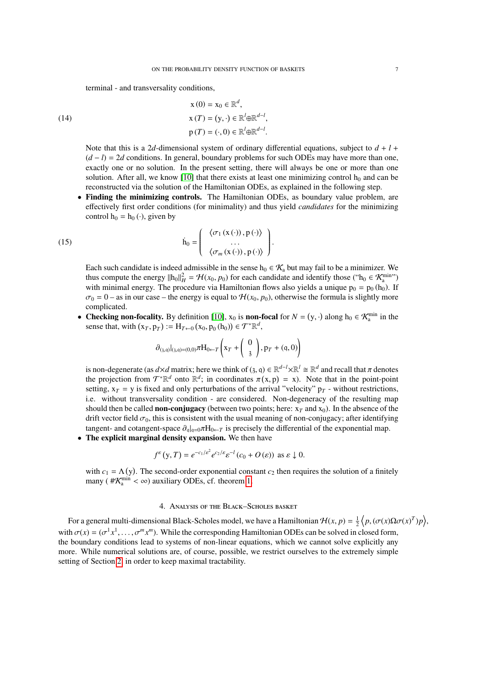terminal - and transversality conditions,

(14)  
\n
$$
x(0) = x_0 \in \mathbb{R}^d,
$$
\n
$$
x(T) = (y, \cdot) \in \mathbb{R}^l \oplus \mathbb{R}^{d-l},
$$
\n
$$
p(T) = (\cdot, 0) \in \mathbb{R}^l \oplus \mathbb{R}^{d-l}.
$$

Note that this is a 2*d*-dimensional system of ordinary differential equations, subject to  $d + l$ (*d* − *l*) = 2*d* conditions. In general, boundary problems for such ODEs may have more than one, exactly one or no solution. In the present setting, there will always be one or more than one solution. After all, we know  $[10]$  that there exists at least one minimizing control  $h_0$  and can be reconstructed via the solution of the Hamiltonian ODEs, as explained in the following step.

• Finding the minimizing controls. The Hamiltonian ODEs, as boundary value problem, are effectively first order conditions (for minimality) and thus yield *candidates* for the minimizing control  $h_0 = h_0(\cdot)$ , given by

(15) 
$$
\dot{\mathbf{h}}_0 = \begin{pmatrix} \langle \sigma_1(\mathbf{x}(\cdot)), \mathbf{p}(\cdot) \rangle \\ \cdots \\ \langle \sigma_m(\mathbf{x}(\cdot)), \mathbf{p}(\cdot) \rangle \end{pmatrix}.
$$

<span id="page-6-0"></span>Each such candidate is indeed admissible in the sense  $h_0 \in \mathcal{K}_a$  but may fail to be a minimizer. We thus compute the energy  $\|h_0\|_H^2 = \mathcal{H}(x_0, p_0)$  for each candidate and identify those ("h<sub>0</sub> ∈ K<sub>am</sub>in") with minimal energy. The procedure via Hamiltonian flows also vields a unique  $p_0 = p_0$  (h<sub>0</sub>). If with minimal energy. The procedure via Hamiltonian flows also yields a unique  $p_0 = p_0 (h_0)$ . If  $\sigma_0 = 0$  – as in our case – the energy is equal to  $H(x_0, p_0)$ , otherwise the formula is slightly more complicated.

• Checking non-focality. By definition [\[10\]](#page-14-1),  $x_0$  is non-focal for  $N = (y, \cdot)$  along  $h_0 \in \mathcal{K}_a^{\min}$  in the sense that with  $(x, n_0) = H_{x_0}(x_0, n_0(h_0)) \in \mathcal{T}^* \mathbb{R}^d$ sense that, with  $(x_T, p_T) := H_{T \leftarrow 0} (x_0, p_0 (h_0)) \in \mathcal{T}^* \mathbb{R}^d$ ,

$$
\partial_{(3, q)}|_{(3, q)=(0, 0)} \pi H_{0 \leftarrow T} \left( x_T + \begin{pmatrix} 0 \\ 3 \end{pmatrix}, p_T + (q, 0) \right)
$$

is non-degenerate (as  $d \times d$  matrix; here we think of (3, q)  $\in \mathbb{R}^{d-1} \times \mathbb{R}^{l} \cong \mathbb{R}^{d}$  and recall that  $\pi$  denotes the projection from  $\mathcal{T}^* \mathbb{R}^d$  onto  $\mathbb{R}^{d}$ , in coordinates  $\pi(x, y) = x$ ). Note tha the projection from  $\mathcal{T}^*\mathbb{R}^d$  onto  $\mathbb{R}^d$ ; in coordinates  $\pi(x, p) = x$ ). Note that in the point-point<br>setting  $x = y$  is fixed and only perturbations of the arrival "velocity" propositions setting,  $x_T = y$  is fixed and only perturbations of the arrival "velocity"  $p_T$  - without restrictions, i.e. without transversality condition - are considered. Non-degeneracy of the resulting map should then be called **non-conjugacy** (between two points; here:  $x_T$  and  $x_0$ ). In the absence of the drift vector field  $\sigma_0$ , this is consistent with the usual meaning of non-conjugacy; after identifying tangent- and cotangent-space  $\partial_{\alpha}|_{\alpha=0} \pi H_{0 \leftarrow T}$  is precisely the differential of the exponential map.

The explicit marginal density expansion. We then have

$$
f^{\varepsilon}(y,T) = e^{-c_1/\varepsilon^2} e^{c_2/\varepsilon} \varepsilon^{-l} (c_0 + O(\varepsilon)) \text{ as } \varepsilon \downarrow 0.
$$

with  $c_1 = \Lambda(y)$ . The second-order exponential constant  $c_2$  then requires the solution of a finitely many ( $\#\mathcal{K}_a^{\min} < \infty$ ) auxiliary ODEs, cf. theorem [1.](#page-4-2)

# 4. Analysis of the Black–Scholes basket

<span id="page-6-1"></span>For a general multi-dimensional Black-Scholes model, we have a Hamiltonian  $\mathcal{H}(x, p) = \frac{1}{2} \langle p, (\sigma(x) \Omega \sigma(x)^T) p \rangle$ , with  $\sigma(x) = (\sigma^1 x^1, \dots, \sigma^m x^m)$ . While the corresponding Hamiltonian ODEs can be solved in closed form, the boundary conditions lead to systems of non-linear equations, which we cannot solve explicitly any more. While numerical solutions are, of course, possible, we restrict ourselves to the extremely simple setting of Section [2,](#page-1-1) in order to keep maximal tractability.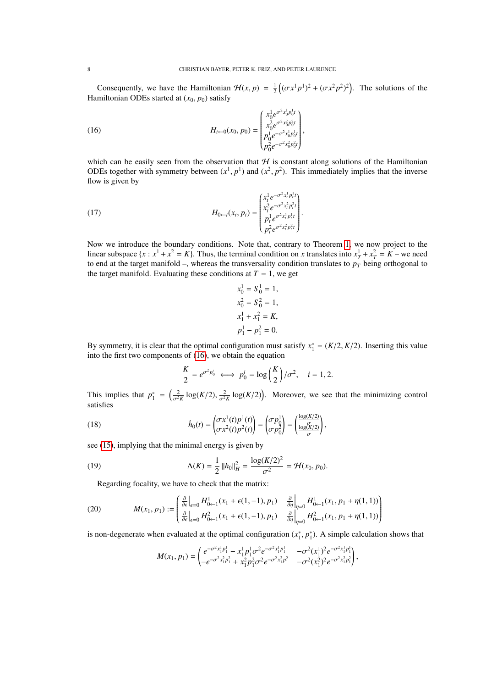Consequently, we have the Hamiltonian  $\mathcal{H}(x, p) = \frac{1}{2} \left( (\sigma x^1 p^1)^2 + (\sigma x^2 p^2)^2 \right)$ . The solutions of the miltonian ODEs started at  $(x_0, p_0)$  satisfy Hamiltonian ODEs started at  $(x_0, p_0)$  satisfy

<span id="page-7-0"></span>(16) 
$$
H_{t \leftarrow 0}(x_0, p_0) = \begin{pmatrix} x_0^1 e^{\sigma^2 x_0^1 p_0^1 t} \\ x_0^2 e^{\sigma^2 x_0^2 p_0^2 t} \\ p_0^1 e^{-\sigma^2 x_0^1 p_0^1 t} \\ p_0^2 e^{-\sigma^2 x_0^2 p_0^2 t} \end{pmatrix}
$$

which can be easily seen from the observation that  $H$  is constant along solutions of the Hamiltonian ODEs together with symmetry between  $(x^1, p^1)$  and  $(x^2, p^2)$ . This immediately implies that the inverse flow is given by flow is given by

(17) 
$$
H_{0\leftarrow t}(x_t, p_t) = \begin{pmatrix} x_t^1 e^{-\sigma^2 x_t^1 p_t^1 t} \\ x_t^2 e^{-\sigma^2 x_t^2 p_t^2 t} \\ p_t^1 e^{\sigma^2 x_t^1 p_t^1 t} \\ p_t^2 e^{\sigma^2 x_t^2 p_t^2 t} \end{pmatrix}
$$

Now we introduce the boundary conditions. Note that, contrary to Theorem [1,](#page-4-2) we now project to the linear subspace  $\{x : x^1 + x^2 = K\}$ . Thus, the terminal condition on *x* translates into  $x_T^1 + x_T^2 = K$  – we need to end at the target manifold –, whereas the transversality condition translates to  $p_T$  being orthogonal to the target manifold. Evaluating these conditions at  $T = 1$ , we get

$$
x_0^1 = S_0^1 = 1,
$$
  
\n
$$
x_0^2 = S_0^2 = 1,
$$
  
\n
$$
x_1^1 + x_1^2 = K,
$$
  
\n
$$
p_1^1 - p_1^2 = 0.
$$

By symmetry, it is clear that the optimal configuration must satisfy  $x_1^* = (K/2, K/2)$ . Inserting this value into the first two components of (16), we obtain the equation into the first two components of [\(16\)](#page-7-0), we obtain the equation

<span id="page-7-2"></span>
$$
\frac{K}{2} = e^{\sigma^2 p_0^i} \iff p_0^i = \log\left(\frac{K}{2}\right)/\sigma^2, \quad i = 1, 2.
$$

This implies that  $p_1^* = \left(\frac{2}{\sigma^2 K} \log(K/2), \frac{2}{\sigma^2 K} \log(K/2)\right)$ . Moreover, we see that the minimizing control satisfies satisfies

(18) 
$$
\dot{h}_0(t) = \begin{pmatrix} \sigma x^1(t) p^1(t) \\ \sigma x^2(t) p^2(t) \end{pmatrix} = \begin{pmatrix} \sigma p_0^1 \\ \sigma p_0^2 \end{pmatrix} = \begin{pmatrix} \frac{\log(K/2)}{\sigma} \\ \frac{\log(K/2)}{\sigma} \end{pmatrix},
$$

see [\(15\)](#page-6-0), implying that the minimal energy is given by

(19) 
$$
\Delta(K) = \frac{1}{2} ||h_0||_H^2 = \frac{\log(K/2)^2}{\sigma^2} = \mathcal{H}(x_0, p_0).
$$
 Regarding focusing, we have to check that the matrix:

<span id="page-7-1"></span>

(20) 
$$
M(x_1, p_1) := \begin{pmatrix} \frac{\partial}{\partial \epsilon} \Big|_{\epsilon=0} H_{0\leftarrow 1}^1(x_1 + \epsilon(1, -1), p_1) & \frac{\partial}{\partial \eta} \Big|_{\eta=0} H_{0\leftarrow 1}^1(x_1, p_1 + \eta(1, 1)) \\ \frac{\partial}{\partial \epsilon} \Big|_{\epsilon=0} H_{0\leftarrow 1}^2(x_1 + \epsilon(1, -1), p_1) & \frac{\partial}{\partial \eta} \Big|_{\eta=0} H_{0\leftarrow 1}^2(x_1, p_1 + \eta(1, 1)) \end{pmatrix}
$$

is non-degenerate when evaluated at the optimal configuration  $(x_1^*, p_1^*)$ . A simple calculation shows that

$$
M(x_1, p_1) = \begin{pmatrix} e^{-\sigma^2 x_1^1 p_1^1} - x_1^1 p_1^1 \sigma^2 e^{-\sigma^2 x_1^1 p_1^1} & -\sigma^2 (x_1^1)^2 e^{-\sigma^2 x_1^1 p_1^1} \\ -e^{-\sigma^2 x_1^2 p_1^2} + x_1^2 p_1^2 \sigma^2 e^{-\sigma^2 x_1^2 p_1^2} & -\sigma^2 (x_1^2)^2 e^{-\sigma^2 x_1^2 p_1^2} \end{pmatrix},
$$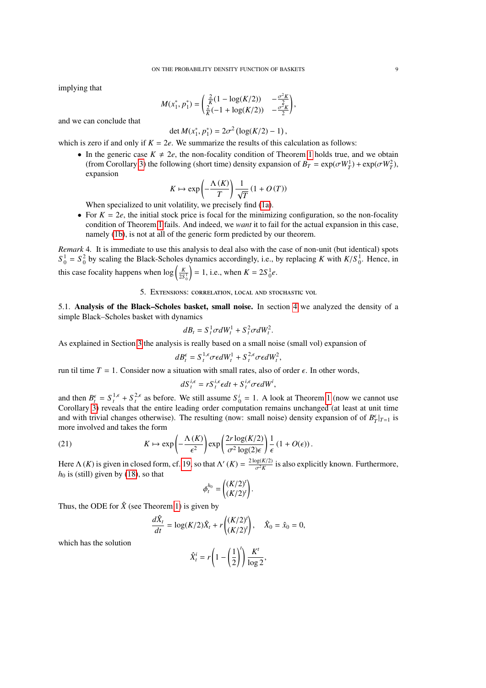implying that

$$
M(x_1^*, p_1^*) = \begin{pmatrix} \frac{2}{K}(1 - \log(K/2)) & -\frac{\sigma^2 K}{2} \\ \frac{2}{K}(-1 + \log(K/2)) & -\frac{\sigma^2 K}{2} \end{pmatrix},
$$

and we can conclude that

$$
\det M(x_1^*, p_1^*) = 2\sigma^2 (\log(K/2) - 1),
$$

 $\det M(x_1^*, p_1^*) = 2\sigma^2 (\log(K/2) - 1),$ <br>which is zero if and only if  $K = 2e$ . We summarize the results of this calculation as follows:

• In the generic case  $K \neq 2e$ , the non-focality condition of Theorem [1](#page-4-2) holds true, and we obtain (from Corollary [3\)](#page-5-1) the following (short time) density expansion of  $B_T = \exp(\sigma W_T^1) + \exp(\sigma W_T^2)$ ,<br>expansion expansion

$$
K \mapsto \exp\left(-\frac{\Lambda(K)}{T}\right) \frac{1}{\sqrt{T}} (1 + O(T))
$$

When specialized to unit volatility, we precisely find [\(1a\)](#page-2-0).

• For  $K = 2e$ , the initial stock price is focal for the minimizing configuration, so the non-focality condition of Theorem [1](#page-4-2) fails. And indeed, we *want* it to fail for the actual expansion in this case, namely [\(1b\)](#page-2-0), is not at all of the generic form predicted by our theorem.

*Remark* 4*.* It is immediate to use this analysis to deal also with the case of non-unit (but identical) spots  $S_0^1 = S_0^2$  by scaling the Black-Scholes dynamics accordingly, i.e., by replacing *K* with  $K/S_0^1$ . Hence, in this case focality happens when  $\log \left( \frac{K}{2S_0^1} \right)$  $= 1$ , i.e., when  $K = 2S_0^1 e$ .

5. Extensions: correlation, local and stochastic vol

5.1. Analysis of the Black–Scholes basket, small noise. In section [4](#page-6-1) we analyzed the density of a simple Black–Scholes basket with dynamics

$$
dB_t = S_t^1 \sigma dW_t^1 + S_t^2 \sigma dW_t^2.
$$

As explained in Section [3](#page-3-6) the analysis is really based on a small noise (small vol) expansion of

$$
dB_t^{\epsilon} = S_t^{1,\epsilon} \sigma \epsilon dW_t^1 + S_t^{2,\epsilon} \sigma \epsilon dW_t^2,
$$

run til time  $T = 1$ . Consider now a situation with small rates, also of order  $\epsilon$ . In other words,

$$
dS_t^{i,\epsilon} = rS_t^{i,\epsilon} \epsilon dt + S_t^{i,\epsilon} \sigma \epsilon dW^i,
$$

and then  $B_t^{\epsilon} = S_t^{1,\epsilon} + S_t^{2,\epsilon}$  as before. We still assume  $S_0^i = 1$  $S_0^i = 1$ . A look at Theorem 1 (now we cannot use Corollary [3\)](#page-5-1) reveals that the entire leading order computation remains unchanged (at least at unit time and with trivial changes otherwise). The resulting (now: small noise) density expansion of of  $B^{\epsilon}_{T}|_{T=1}$  is more involved and takes the form

(21) 
$$
K \mapsto \exp\left(-\frac{\Lambda(K)}{\epsilon^2}\right) \exp\left(\frac{2r\log(K/2)}{\sigma^2\log(2)\epsilon}\right) \frac{1}{\epsilon} (1 + O(\epsilon)).
$$

Here  $\Lambda(K)$  is given in closed form, cf. [19,](#page-7-1) so that  $\Lambda'(K) = \frac{2 \log(K/2)}{\sigma^2 K}$  $\frac{\log(K/2)}{\sigma^2 K}$  is also explicitly known. Furthermore,  $h_0$  is (still) given by [\(18\)](#page-7-2), so that

$$
\phi_t^{h_0} = \begin{pmatrix} (K/2)^t \\ (K/2)^t \end{pmatrix}.
$$

Thus, the ODE for  $\hat{X}$  (see Theorem [1\)](#page-4-2) is given by

$$
\frac{d\hat{X}_t}{dt} = \log(K/2)\hat{X}_t + r\binom{(K/2)^t}{(K/2)^t}, \quad \hat{X}_0 = \hat{x}_0 = 0,
$$

which has the solution

$$
\hat{X}_t^i = r \left( 1 - \left( \frac{1}{2} \right)^t \right) \frac{K^t}{\log 2},
$$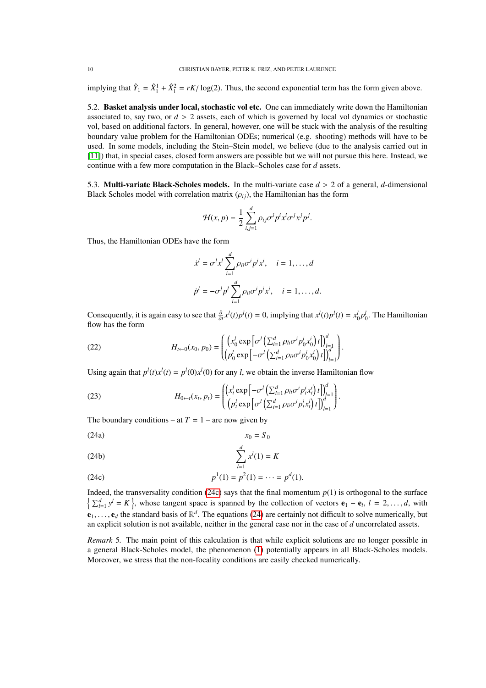implying that  $\hat{Y}_1 = \hat{X}_1^1 + \hat{X}_1^2 = rK/\log(2)$ . Thus, the second exponential term has the form given above.

5.2. Basket analysis under local, stochastic vol etc. One can immediately write down the Hamiltonian associated to, say two, or  $d > 2$  assets, each of which is governed by local vol dynamics or stochastic vol, based on additional factors. In general, however, one will be stuck with the analysis of the resulting boundary value problem for the Hamiltonian ODEs; numerical (e.g. shooting) methods will have to be used. In some models, including the Stein–Stein model, we believe (due to the analysis carried out in [\[11\]](#page-14-2)) that, in special cases, closed form answers are possible but we will not pursue this here. Instead, we continue with a few more computation in the Black–Scholes case for *d* assets.

5.3. **Multi-variate Black-Scholes models.** In the multi-variate case  $d > 2$  of a general, *d*-dimensional Black Scholes model with correlation matrix  $(\rho_{ij})$ , the Hamiltonian has the form

$$
\mathcal{H}(x,p) = \frac{1}{2} \sum_{i,j=1}^{d} \rho_{ij} \sigma^i p^i x^i \sigma^j x^j p^j.
$$

Thus, the Hamiltonian ODEs have the form

<span id="page-9-1"></span>
$$
\dot{x}^l = \sigma^l x^l \sum_{i=1}^d \rho_{li} \sigma^i p^i x^i, \quad i = 1, \dots, d
$$
  

$$
\dot{p}^l = -\sigma^l p^l \sum_{i=1}^d \rho_{li} \sigma^i p^i x^i, \quad i = 1, \dots, d.
$$

Consequently, it is again easy to see that  $\frac{\partial}{\partial t} x^l(t) p^l(t) = 0$ , implying that  $x^l(t) p^l(t) = x_0^l p_0^l$ . The Hamiltonian flow has the form flow has the form

(22) 
$$
H_{t \leftarrow 0}(x_0, p_0) = \left( \left( x_0^l \exp \left[ \sigma^l \left( \sum_{i=1}^d \rho_{li} \sigma^i p_0^i x_0^i \right) t \right] \right)_{l=1}^d \right) \left( p_0^l \exp \left[ -\sigma^l \left( \sum_{i=1}^d \rho_{li} \sigma^i p_0^i x_0^i \right) t \right] \right)_{l=1}^d \right)
$$

Using again that  $p^{l}(t)x^{l}(t) = p^{l}(0)x^{l}(0)$  for any *l*, we obtain the inverse Hamiltonian flow

(23) 
$$
H_{0\leftarrow t}(x_t, p_t) = \begin{pmatrix} \left(x_t^l \exp\left[-\sigma^l \left(\sum_{i=1}^d \rho_{li} \sigma^i p_t^i x_t^i\right) t\right]\right)_{j=1}^d\\ \left(p_t^l \exp\left[\sigma^l \left(\sum_{i=1}^d \rho_{li} \sigma^i p_t^i x_t^i\right) t\right]\right)_{l=1}^d\end{pmatrix}.
$$

The boundary conditions – at  $T = 1$  – are now given by

$$
x_0 = S_0
$$

(24b) 
$$
\sum_{l=1}^{d} x^{l}(1) = K
$$

<span id="page-9-0"></span>(24c) 
$$
p^{1}(1) = p^{2}(1) = \cdots = p^{d}(1).
$$

Indeed, the transversality condition [\(24c\)](#page-9-0) says that the final momentum  $p(1)$  is orthogonal to the surface  $\left\{\sum_{l=1}^d y^l = K\right\}$ , whose tangent space is spanned by the collection of vectors  $\mathbf{e}_1 - \mathbf{e}_l$ ,  $l = 2, \ldots, d$ , with  $e_1, \ldots, e_d$  the standard basis of  $\mathbb{R}^d$ . The equations [\(24\)](#page-9-1) are certainly not difficult to solve numerically, but<br>an explicit solution is not available, peither in the general case nor in the case of d uncorrelated an explicit solution is not available, neither in the general case nor in the case of *d* uncorrelated assets.

*Remark* 5. The main point of this calculation is that while explicit solutions are no longer possible in a general Black-Scholes model, the phenomenon [\(1\)](#page-2-0) potentially appears in all Black-Scholes models. Moreover, we stress that the non-focality conditions are easily checked numerically.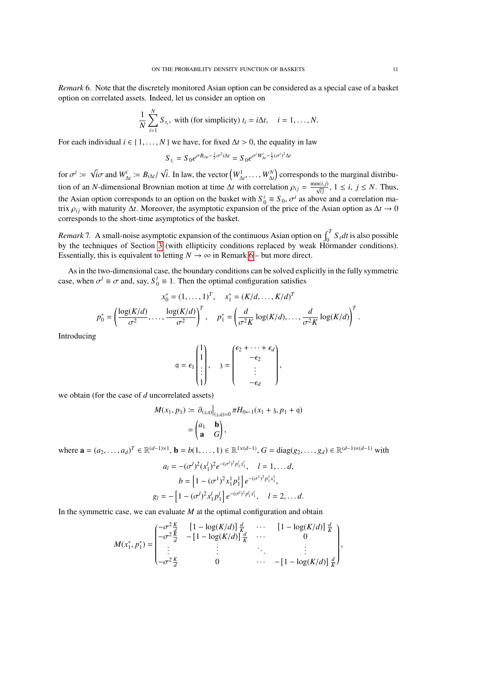<span id="page-10-0"></span>*Remark* 6*.* Note that the discretely monitored Asian option can be considered as a special case of a basket option on correlated assets. Indeed, let us consider an option on

$$
\frac{1}{N}\sum_{i=1}^{N} S_{t_i}
$$
, with (for simplicity)  $t_i = i\Delta t$ ,  $i = 1,...,N$ .

For each individual  $i \in \{1, ..., N\}$  we have, for fixed  $\Delta t > 0$ , the equality in law

$$
S_{t_i} = S_0 e^{\sigma B_{i\Delta t} - \frac{1}{2}\sigma^2 i\Delta t} = S_0 e^{\sigma^i W_{\Delta t}^i - \frac{1}{2}(\sigma^i)^2 \Delta t}
$$

for  $\sigma^i := \sqrt{i}\sigma$  and  $W^i_{\Delta t} := B_{i\Delta t}/\sqrt{i}$ . In law, the vector  $(W^1_{\Delta t}, \dots, W^N_{\Delta t})$  corresponds to the marginal distribution of an *N*-dimensional Brownian motion at time  $\Delta t$  with correlation  $\rho_{ij} = \frac{\min(i,j)}{\sqrt{ij}}$ ,  $1 \le i, j \le N$ . Thus, the Asian option corresponds to an option on the basket with  $S_0^i \equiv S_0$ ,  $\sigma^i$  as above and a correlation ma-<br>trix  $\alpha$ : with maturity  $\Delta t$ . Moreover, the asymptotic expansion of the price of the Asian option as  $\Delta t \$ trix  $\rho_{ij}$  with maturity  $\Delta t$ . Moreover, the asymptotic expansion of the price of the Asian option as  $\Delta t \to 0$ corresponds to the short-time asymptotics of the basket.

*Remark* 7. A small-noise asymptotic expansion of the continuous Asian option on  $\int_0^T S_t dt$  is also possible by the techniques of Section [3](#page-3-6) (with ellipticity conditions replaced by weak Hörmander conditions). Essentially, this is equivalent to letting  $N \to \infty$  in Remark [6](#page-10-0) – but more direct.

As in the two-dimensional case, the boundary conditions can be solved explicitly in the fully symmetric case, when  $\sigma^l \equiv \sigma$  and, say,  $S_0^l \equiv 1$ . Then the optimal configuration satisfies

$$
x_0^* = (1, ..., 1)^T, \quad x_1^* = (K/d, ..., K/d)^T
$$

$$
p_0^* = \left(\frac{\log(K/d)}{\sigma^2}, ..., \frac{\log(K/d)}{\sigma^2}\right)^T, \quad p_1^* = \left(\frac{d}{\sigma^2 K} \log(K/d), ..., \frac{d}{\sigma^2 K} \log(K/d)\right)^T.
$$

Introducing

$$
q = \epsilon_1 \begin{pmatrix} 1 \\ 1 \\ \vdots \\ 1 \end{pmatrix}, \quad 3 = \begin{pmatrix} \epsilon_2 + \cdots + \epsilon_d \\ -\epsilon_2 \\ \vdots \\ -\epsilon_d \end{pmatrix},
$$

we obtain (for the case of *d* uncorrelated assets)

$$
M(x_1, p_1) := \left. \frac{\partial_{(3,0)} \big|_{(3,0)=0} \pi H_{0 \leftarrow 1}(x_1 + 3, p_1 + q)}{a \mathbf{a} \mathbf{b}} \right|_{(3,0)=0} = \left( \begin{array}{cc} a_1 & b \\ \mathbf{a} & G \end{array} \right),
$$

where **a** =  $(a_2, ..., a_d)^T$  ∈  $\mathbb{R}^{(d-1)\times 1}$ , **b** =  $b(1, ..., 1)$  ∈  $\mathbb{R}^{1\times(d-1)}$ , *G* = diag(*g*<sub>2</sub>, . . . , *g*<sub>*d*</sub>) ∈  $\mathbb{R}^{(d-1)\times(d-1)}$  with

$$
a_l = -(\sigma^l)^2 (x_1^l)^2 e^{-(\sigma^l)^2 p_1^l x_1^l}, \quad l = 1, \dots d,
$$
  
\n
$$
b = \left[1 - (\sigma^l)^2 x_1^l p_1^l\right] e^{-(\sigma^l)^2 p_1^l x_1^l},
$$
  
\n
$$
g_l = -\left[1 - (\sigma^l)^2 x_1^l p_1^l\right] e^{-(\sigma^l)^2 p_1^l x_1^l}, \quad l = 2, \dots d.
$$

In the symmetric case, we can evaluate  $M$  at the optimal configuration and obtain

$$
M(x_1^*, p_1^*) = \begin{pmatrix} -\sigma^2 \frac{K}{d} & \left[1 - \log(K/d)\right] \frac{d}{K} & \cdots & \left[1 - \log(K/d)\right] \frac{d}{K} \\ -\sigma^2 \frac{K}{d} & -\left[1 - \log(K/d)\right] \frac{d}{K} & \cdots & 0 \\ \vdots & \vdots & \ddots & \vdots \\ -\sigma^2 \frac{K}{d} & 0 & \cdots & -\left[1 - \log(K/d)\right] \frac{d}{K} \end{pmatrix},
$$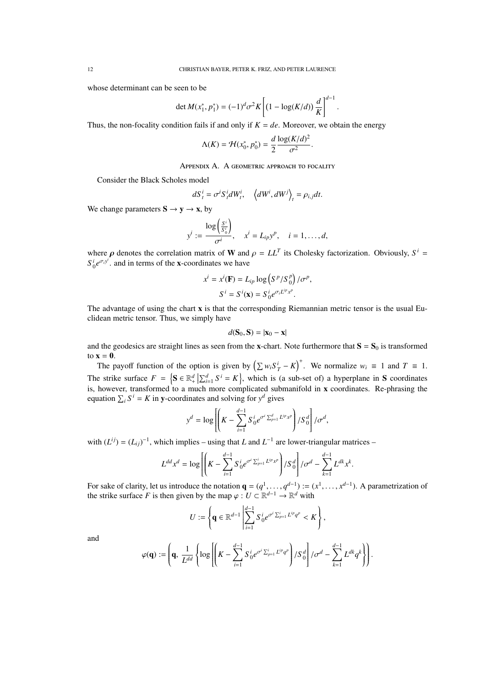whose determinant can be seen to be

$$
\det M(x_1^*, p_1^*) = (-1)^d \sigma^2 K \left[ (1 - \log(K/d)) \frac{d}{K} \right]^{d-1}
$$

Thus, the non-focality condition fails if and only if  $K = de$ . Moreover, we obtain the energy

$$
\Lambda(K) = \mathcal{H}(x_0^*, p_0^*) = \frac{d}{2} \frac{\log(K/d)^2}{\sigma^2}
$$

## Appendix A. A geometric approach to focality

Consider the Black Scholes model

$$
dS_t^i = \sigma^i S_t^i dW_t^i, \quad \left\langle dW^i, dW^j \right\rangle_t = \rho_{i,j} dt.
$$

We change parameters  $S \rightarrow y \rightarrow x$ , by

$$
y^{i} := \frac{\log\left(\frac{S^{i}}{S_{0}^{i}}\right)}{\sigma^{i}}, \quad x^{i} = L_{ip}y^{p}, \quad i = 1, \ldots, d,
$$

where  $\rho$  denotes the correlation matrix of W and  $\rho = LL^T$  its Cholesky factorization. Obviously,  $S^i = S^i e^{\sigma_i y^i}$  and in terms of the x coordinates we have  $S_0^i e^{\sigma_i y^i}$  and in terms of the x-coordinates we have

$$
x^{i} = x^{i}(\mathbf{F}) = L_{ip} \log (S^{p} / S_{0}^{p}) / \sigma^{p},
$$

$$
S^{i} = S^{i}(\mathbf{x}) = S_{0}^{i} e^{\sigma_{i} L^{ip} x^{p}}.
$$

The advantage of using the chart x is that the corresponding Riemannian metric tensor is the usual Euclidean metric tensor. Thus, we simply have

$$
d(\mathbf{S}_0, \mathbf{S}) = |\mathbf{x}_0 - \mathbf{x}|
$$

and the geodesics are straight lines as seen from the x-chart. Note furthermore that  $S = S_0$  is transformed to  $\mathbf{x} = \mathbf{0}$ .

The payoff function of the option is given by  $(\sum w_i S_T^i - K)^+$ . We normalize  $w_i \equiv 1$  and  $T \equiv 1$ . The strike surface  $F = \{S \in \mathbb{R}^d_+ | \sum_{i=1}^d S^i = K\}$ , which is (a sub-set of) a hyperplane in S coordinates is, however, transformed to a much more complicated submanifold in x coordinates. Re-phrasing the equation  $\sum_i S^i = K$  in y-coordinates and solving for  $y^d$  gives

$$
y^{d} = \log \left[ \left( K - \sum_{i=1}^{d-1} S_{0}^{i} e^{\sigma^{i} \sum_{p=1}^{d} L^{ip} x^{p}} \right) / S_{0}^{d} \right] / \sigma^{d},
$$

with  $(L^{ij}) = (L_{ij})^{-1}$ , which implies – using that *L* and  $L^{-1}$  are lower-triangular matrices –

$$
L^{dd}x^d = \log \left[ \left( K - \sum_{i=1}^{d-1} S_0^i e^{\sigma^i \sum_{p=1}^i L^{ip}x^p} \right) / S_0^d \right] / \sigma^d - \sum_{k=1}^{d-1} L^{dk}x^k.
$$

For sake of clarity, let us introduce the notation  $\mathbf{q} = (q^1, \dots, q^{d-1}) := (x^1, \dots, x^{d-1})$ . A parametrization of the strike surface *F* is then given by the man  $(a: U \subseteq \mathbb{R}^{d-1} \to \mathbb{R}^d$  with the strike surface *F* is then given by the map  $\varphi : U \subset \mathbb{R}^{d-1} \to \mathbb{R}^d$  with

$$
U := \left\{ \mathbf{q} \in \mathbb{R}^{d-1} \left| \sum_{i=1}^{d-1} S_0^i e^{\sigma^i \sum_{p=1}^i L^{ip} q^p} < K \right. \right\},
$$

and

$$
\varphi(\mathbf{q}) := \left(\mathbf{q},\ \frac{1}{L^{dd}}\left\{\log\left[\left(K-\sum_{i=1}^{d-1}S_0^ie^{\sigma^i\sum_{p=1}^iL^{ip}q^p}\right)/S_0^d\right]/\sigma^d - \sum_{k=1}^{d-1}L^{dk}q^k\right\}\right).
$$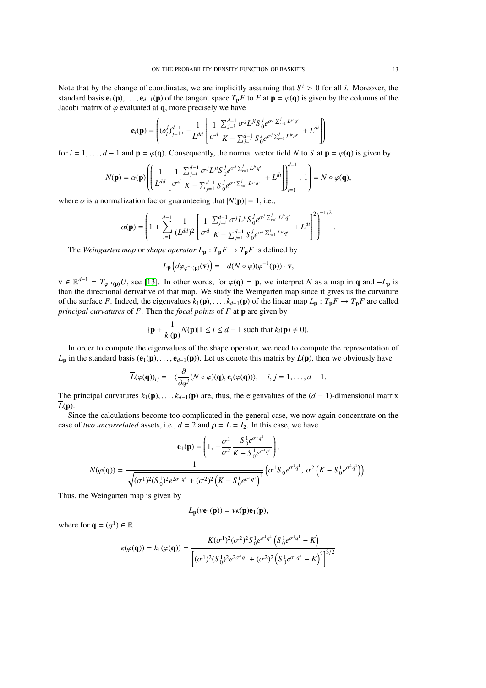Note that by the change of coordinates, we are implicitly assuming that  $S^i > 0$  for all *i*. Moreover, the standard basis  $\mathbf{e}_i(\mathbf{n}) = \mathbf{e}_{i,j}(\mathbf{n})$  of the tangent space  $T F$  to  $F$  at  $\mathbf{n} = \varphi(\mathbf{a})$  is given by th standard basis  $e_1(p), \ldots, e_{d-1}(p)$  of the tangent space  $T_pF$  to  $F$  at  $p = \varphi(q)$  is given by the columns of the Jacobi matrix of  $\varphi$  evaluated at q, more precisely we have

$$
\mathbf{e}_i(\mathbf{p}) = \left( (\delta_i^j)_{j=1}^{d-1}, \ -\frac{1}{L^{dd}} \left[ \frac{1}{\sigma^d} \frac{\sum_{j=i}^{d-1} \sigma^j L^{ji} S_0^j e^{\sigma^j \sum_{r=1}^j L^{jr} q^r}}{K - \sum_{j=1}^{d-1} S_0^j e^{\sigma^j \sum_{r=1}^j L^{jr} q^r}} + L^{di} \right] \right)
$$

for  $i = 1, \ldots, d - 1$  and  $\mathbf{p} = \varphi(\mathbf{q})$ . Consequently, the normal vector field *N* to *S* at  $\mathbf{p} = \varphi(\mathbf{q})$  is given by

$$
N(\mathbf{p}) = \alpha(\mathbf{p}) \left( \left( \frac{1}{L^{dd}} \left[ \frac{1}{\sigma^d} \frac{\sum_{j=i}^{d-1} \sigma^j L^{ji} S_0^j e^{\sigma^j \sum_{r=1}^j L^{jr} q^r}}{K - \sum_{j=1}^{d-1} S_0^j e^{\sigma^j \sum_{r=1}^j L^{jr} q^r}} + L^{di} \right] \right)_{i=1}^{d-1}, 1 \right) = N \circ \varphi(\mathbf{q}),
$$

where  $\alpha$  is a normalization factor guaranteeing that  $|N(\mathbf{p})| = 1$ , i.e.,

$$
\alpha(\mathbf{p}) = \left(1 + \sum_{i=1}^{d-1} \frac{1}{(L^{dd})^2} \left[ \frac{1}{\sigma^d} \frac{\sum_{j=i}^{d-1} \sigma^j L^{ji} S_0^j e^{\sigma^j \sum_{r=1}^j L^{jr} q^r}}{K - \sum_{j=1}^{d-1} S_0^j e^{\sigma^j \sum_{r=1}^j L^{jr} q^r}} + L^{di} \right]^2 \right)^{-1/2}.
$$

The *Weingarten map* or *shape operator*  $L_p$  :  $T_pF \to T_pF$  is defined by

$$
L_{\mathbf{p}}\left(d\varphi_{\varphi^{-1}(\mathbf{p})}(\mathbf{v})\right)=-d(N\circ\varphi)(\varphi^{-1}(\mathbf{p}))\cdot\mathbf{v},
$$

 $\mathbf{v} \in \mathbb{R}^{d-1} = T_{\varphi^{-1}(\mathbf{p})}U$ , see [\[13\]](#page-14-6). In other words, for  $\varphi(\mathbf{q}) = \mathbf{p}$ , we interpret *N* as a map in **q** and  $-L_p$  is<br>than the directional derivative of that map. We study the Weingarten map since it give than the directional derivative of that map. We study the Weingarten map since it gives us the curvature of the surface *F*. Indeed, the eigenvalues  $k_1(\mathbf{p}), \ldots, k_{d-1}(\mathbf{p})$  of the linear map  $L_{\mathbf{p}} : T_{\mathbf{p}} F \to T_{\mathbf{p}} F$  are called *principal curvatures* of *F*. Then the *focal points* of *F* at p are given by

$$
\{\mathbf{p} + \frac{1}{k_i(\mathbf{p})}N(\mathbf{p})|1 \le i \le d-1 \text{ such that } k_i(\mathbf{p}) \ne 0\}.
$$

In order to compute the eigenvalues of the shape operator, we need to compute the representation of  $L_p$  in the standard basis ( $e_1(p), \ldots, e_{d-1}(p)$ ). Let us denote this matrix by  $\overline{L}(p)$ , then we obviously have

$$
\overline{L}(\varphi(\mathbf{q}))_{ij} = -\langle \frac{\partial}{\partial q^j} (N \circ \varphi)(\mathbf{q}), \mathbf{e}_i(\varphi(\mathbf{q})) \rangle, \quad i, j = 1, \dots, d-1.
$$

The principal curvatures  $k_1(\mathbf{p}), \ldots, k_{d-1}(\mathbf{p})$  are, thus, the eigenvalues of the  $(d-1)$ -dimensional matrix  $\overline{I}(\mathbf{n})$  $\overline{L}(\mathbf{p}).$ 

Since the calculations become too complicated in the general case, we now again concentrate on the case of *two uncorrelated* assets, i.e.,  $d = 2$  and  $\rho = L = I_2$ . In this case, we have

$$
\mathbf{e}_{1}(\mathbf{p}) = \left(1, -\frac{\sigma^{1}}{\sigma^{2}} \frac{S_{0}^{1} e^{\sigma^{1} q^{1}}}{K - S_{0}^{1} e^{\sigma^{1} q^{1}}}\right),
$$

$$
N(\varphi(\mathbf{q})) = \frac{1}{\sqrt{(\sigma^{1})^{2} (S_{0}^{1})^{2} e^{2\sigma^{1} q^{1}} + (\sigma^{2})^{2} (K - S_{0}^{1} e^{\sigma^{1} q^{1}})^{2}}} \left(\sigma^{1} S_{0}^{1} e^{\sigma^{1} q^{1}}, \sigma^{2} (K - S_{0}^{1} e^{\sigma^{1} q^{1}})\right).
$$

Thus, the Weingarten map is given by

$$
L_{\mathbf{p}}(\nu\mathbf{e}_1(\mathbf{p})) = \nu\kappa(\mathbf{p})\mathbf{e}_1(\mathbf{p}),
$$

where for  $\mathbf{q} = (q^1) \in \mathbb{R}$ 

$$
\kappa(\varphi(\mathbf{q})) = k_1(\varphi(\mathbf{q})) = \frac{K(\sigma^1)^2(\sigma^2)^2 S_0^1 e^{\sigma^1 q^1} \left( S_0^1 e^{\sigma^1 q^1} - K \right)}{\left[ (\sigma^1)^2 (S_0^1)^2 e^{2\sigma^1 q^1} + (\sigma^2)^2 \left( S_0^1 e^{\sigma^1 q^1} - K \right)^2 \right]^{3/2}}
$$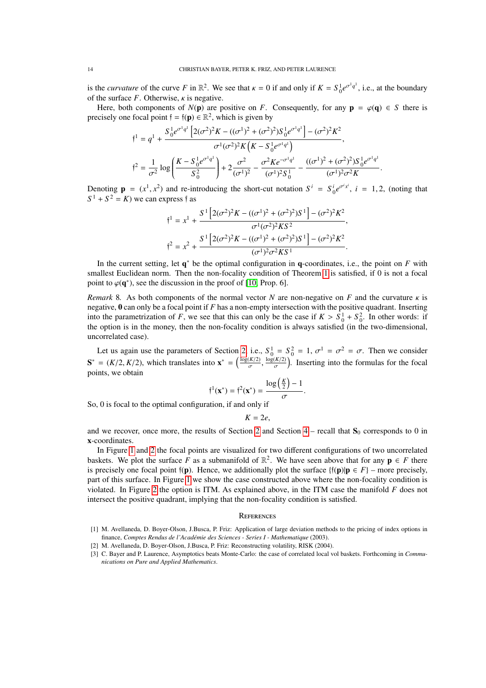is the *curvature* of the curve *F* in  $\mathbb{R}^2$ . We see that  $\kappa = 0$  if and only if  $K = S_0^1 e^{\sigma^1 q^1}$ , i.e., at the boundary of the surface  $F$ . Otherwise,  $\kappa$  is negative.

Here, both components of  $N(\mathbf{p})$  are positive on *F*. Consequently, for any  $\mathbf{p} = \varphi(\mathbf{q}) \in S$  there is precisely one focal point  $\mathfrak{f} = \mathfrak{f}(\mathbf{p}) \in \mathbb{R}^2$ , which is given by

$$
f^{1} = q^{1} + \frac{S_{0}^{1}e^{\sigma^{1}q^{1}} \left[2(\sigma^{2})^{2}K - ((\sigma^{1})^{2} + (\sigma^{2})^{2})S_{0}^{1}e^{\sigma^{1}q^{1}}\right] - (\sigma^{2})^{2}K^{2}}{\sigma^{1}(\sigma^{2})^{2}K \left(K - S_{0}^{1}e^{\sigma^{1}q^{1}}\right)},
$$
  

$$
f^{2} = \frac{1}{\sigma^{2}} \log \left(\frac{K - S_{0}^{1}e^{\sigma^{1}q^{1}}}{S_{0}^{2}}\right) + 2\frac{\sigma^{2}}{(\sigma^{1})^{2}} - \frac{\sigma^{2}Ke^{-\sigma^{1}q^{1}}}{(\sigma^{1})^{2}S_{0}^{1}} - \frac{((\sigma^{1})^{2} + (\sigma^{2})^{2})S_{0}^{1}e^{\sigma^{1}q^{1}}}{(\sigma^{1})^{2}\sigma^{2}K}
$$

Denoting  $\mathbf{p} = (x^1, x^2)$  and re-introducing the short-cut notation  $S^i = S_0^i e^{\sigma^i x^i}$ ,  $i = 1, 2$ , (noting that  $S^1 + S^2 - K$ ) we can express f as  $S^1 + S^2 = K$  we can express f as

$$
\mathbf{f}^1 = x^1 + \frac{S^1 \left[ 2(\sigma^2)^2 K - ((\sigma^1)^2 + (\sigma^2)^2) S^1 \right] - (\sigma^2)^2 K^2}{\sigma^1 (\sigma^2)^2 K S^2},
$$
\n
$$
\mathbf{f}^2 = x^2 + \frac{S^1 \left[ 2(\sigma^2)^2 K - ((\sigma^1)^2 + (\sigma^2)^2) S^1 \right] - (\sigma^2)^2 K^2}{(\sigma^1)^2 \sigma^2 K S^1}.
$$

In the current setting, let  $q^*$  be the optimal configuration in q-coordinates, i.e., the point on *F* with smallest Euclidean norm. Then the non-focality condition of Theorem [1](#page-4-2) is satisfied, if 0 is not a focal point to  $\varphi(\mathbf{q}^*)$ , see the discussion in the proof of [\[10,](#page-14-1) Prop. 6].

*Remark* 8. As both components of the normal vector *N* are non-negative on *F* and the curvature  $\kappa$  is negative, 0 can only be a focal point if *F* has a non-empty intersection with the positive quadrant. Inserting into the parametrization of *F*, we see that this can only be the case if  $K > S_0^1 + S_0^2$ . In other words: if the option is in the money, then the non-focality condition is always satisfied (in the two-dimensional, uncorrelated case).

Let us again use the parameters of Section [2,](#page-1-1) i.e.,  $S_0^1 = S_0^2 = 1$ ,  $\sigma^1 = \sigma^2 = \sigma$ . Then we consider  $S^* = (K/2, K/2)$ , which translates into  $x^* = (\frac{\log(K/2)}{\sigma}, \frac{\log(K/2)}{\sigma})$ . Inserting into the formulas for the focal points  $\frac{(K/2)}{\sigma}$ ,  $\frac{\log(K/2)}{\sigma}$  . Inserting into the formulas for the focal points, we obtain

$$
\mathfrak{f}^1(\mathbf{x}^*) = \mathfrak{f}^2(\mathbf{x}^*) = \frac{\log\left(\frac{K}{2}\right) - 1}{\sigma}.
$$

So, 0 is focal to the optimal configuration, if and only if

$$
K=2e,
$$

and we recover, once more, the results of Section [2](#page-1-1) and Section  $4$  – recall that  $S_0$  corresponds to 0 in x-coordinates.

In Figure [1](#page-14-7) and [2](#page-15-3) the focal points are visualized for two different configurations of two uncorrelated baskets. We plot the surface F as a submanifold of  $\mathbb{R}^2$ . We have seen above that for any  $p \in F$  there is precisely one focal point  $f(\mathbf{p})$ . Hence, we additionally plot the surface  $\{f(\mathbf{p})|\mathbf{p} \in F\}$  – more precisely, part of this surface. In Figure [1](#page-14-7) we show the case constructed above where the non-focality condition is violated. In Figure [2](#page-15-3) the option is ITM. As explained above, in the ITM case the manifold *F* does not intersect the positive quadrant, implying that the non-focality condition is satisfied.

## **REFERENCES**

- <span id="page-13-0"></span>[1] M. Avellaneda, D. Boyer-Olson, J.Busca, P. Friz: Application of large deviation methods to the pricing of index options in finance, Comptes Rendus de l'Académie des Sciences - Series I - Mathematique (2003).
- <span id="page-13-1"></span>[2] M. Avellaneda, D. Boyer-Olson, J.Busca, P. Friz: Reconstructing volatility, RISK (2004).

<sup>[3]</sup> C. Bayer and P. Laurence, Asymptotics beats Monte-Carlo: the case of correlated local vol baskets. Forthcoming in *Communications on Pure and Applied Mathematics*.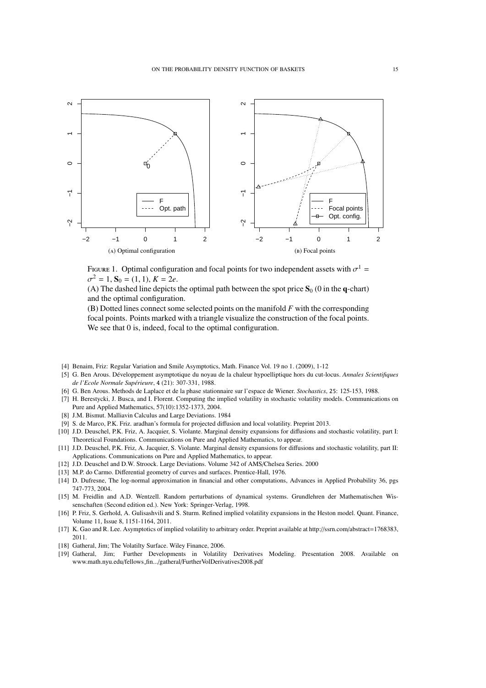<span id="page-14-7"></span>

FIGURE 1. Optimal configuration and focal points for two independent assets with  $\sigma^1 = \sigma^2 - 1$ ,  $\mathbf{S}_0 = (1, 1)$ ,  $\mathbf{K} = 2e$  $\sigma^2 = 1$ ,  $S_0 = (1, 1)$ ,  $K = 2e$ .

(A) The dashed line depicts the optimal path between the spot price  $S_0$  (0 in the q-chart) and the optimal configuration.

(B) Dotted lines connect some selected points on the manifold *F* with the corresponding focal points. Points marked with a triangle visualize the construction of the focal points. We see that 0 is, indeed, focal to the optimal configuration.

- [4] Benaim, Friz: Regular Variation and Smile Asymptotics, Math. Finance Vol. 19 no 1. (2009), 1-12
- <span id="page-14-3"></span>[5] G. Ben Arous. Developpement asymptotique du noyau de la chaleur hypoelliptique hors du cut-locus. ´ *Annales Scientifiques de l'Ecole Normale Sup´erieure*, 4 (21): 307-331, 1988.
- <span id="page-14-4"></span>[6] G. Ben Arous. Methods de Laplace et de la phase stationnaire sur l'espace de Wiener. *Stochastics*, 25: 125-153, 1988.
- [7] H. Berestycki, J. Busca, and I. Florent. Computing the implied volatility in stochastic volatility models. Communications on Pure and Applied Mathematics, 57(10):1352-1373, 2004.
- <span id="page-14-5"></span>[8] J.M. Bismut. Malliavin Calculus and Large Deviations. 1984
- [9] S. de Marco, P.K. Friz. aradhan's formula for projected diffusion and local volatility. Preprint 2013.
- <span id="page-14-1"></span>[10] J.D. Deuschel, P.K. Friz, A. Jacquier, S. Violante. Marginal density expansions for diffusions and stochastic volatility, part I: Theoretical Foundations. Communications on Pure and Applied Mathematics, to appear.
- <span id="page-14-2"></span>[11] J.D. Deuschel, P.K. Friz, A. Jacquier, S. Violante. Marginal density expansions for diffusions and stochastic volatility, part II: Applications. Communications on Pure and Applied Mathematics, to appear.
- [12] J.D. Deuschel and D.W. Stroock. Large Deviations. Volume 342 of AMS/Chelsea Series. 2000
- <span id="page-14-6"></span>[13] M.P. do Carmo. Differential geometry of curves and surfaces. Prentice-Hall, 1976.
- <span id="page-14-0"></span>[14] D. Dufresne, The log-normal approximation in financial and other computations, Advances in Applied Probability 36, pgs 747-773, 2004.
- [15] M. Freidlin and A.D. Wentzell. Random perturbations of dynamical systems. Grundlehren der Mathematischen Wissenschaften (Second edition ed.). New York: Springer-Verlag, 1998.
- [16] P. Friz, S. Gerhold, A. Gulisashvili and S. Sturm. Refined implied volatility expansions in the Heston model. Quant. Finance, Volume 11, Issue 8, 1151-1164, 2011.
- [17] K. Gao and R. Lee. Asymptotics of implied volatility to arbitrary order. Preprint available at http://ssrn.com/abstract=1768383, 2011.
- [18] Gatheral, Jim; The Volatilty Surface. Wiley Finance, 2006.
- [19] Gatheral, Jim; Further Developments in Volatility Derivatives Modeling. Presentation 2008. Available on www.math.nyu.edu/fellows fin.../gatheral/FurtherVolDerivatives2008.pdf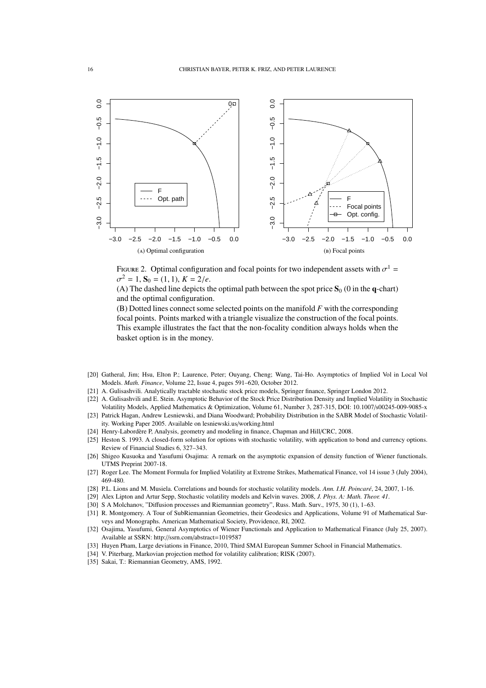<span id="page-15-3"></span>

FIGURE 2. Optimal configuration and focal points for two independent assets with  $\sigma^1 =$ <br> $\sigma^2 = 1$ ,  $S_0 = (1, 1)$ ,  $K = 2/a$  $\sigma^2 = 1$ ,  $S_0 = (1, 1)$ ,  $K = 2/e$ .

(A) The dashed line depicts the optimal path between the spot price  $S_0$  (0 in the q-chart) and the optimal configuration.

(B) Dotted lines connect some selected points on the manifold *F* with the corresponding focal points. Points marked with a triangle visualize the construction of the focal points. This example illustrates the fact that the non-focality condition always holds when the basket option is in the money.

- [20] Gatheral, Jim; Hsu, Elton P.; Laurence, Peter; Ouyang, Cheng; Wang, Tai-Ho. Asymptotics of Implied Vol in Local Vol Models. *Math. Finance*, Volume 22, Issue 4, pages 591–620, October 2012.
- <span id="page-15-2"></span>[21] A. Gulisashvili. Analytically tractable stochastic stock price models, Springer finance, Springer London 2012.
- <span id="page-15-0"></span>[22] A. Gulisashvili and E. Stein. Asymptotic Behavior of the Stock Price Distribution Density and Implied Volatility in Stochastic Volatility Models, Applied Mathematics & Optimization, Volume 61, Number 3, 287-315, DOI: 10.1007/s00245-009-9085-x
- [23] Patrick Hagan, Andrew Lesniewski, and Diana Woodward; Probability Distribution in the SABR Model of Stochastic Volatility. Working Paper 2005. Available on lesniewski.us/working.html
- [24] Henry-Labordère P, Analysis, geometry and modeling in finance, Chapman and Hill/CRC, 2008.
- <span id="page-15-1"></span>[25] Heston S. 1993. A closed-form solution for options with stochastic volatility, with application to bond and currency options. Review of Financial Studies 6, 327–343.
- [26] Shigeo Kusuoka and Yasufumi Osajima: A remark on the asymptotic expansion of density function of Wiener functionals. UTMS Preprint 2007-18.
- [27] Roger Lee. The Moment Formula for Implied Volatility at Extreme Strikes, Mathematical Finance, vol 14 issue 3 (July 2004), 469-480.
- [28] P.L. Lions and M. Musiela. Correlations and bounds for stochastic volatility models. *Ann. I.H. Poincar´e*, 24, 2007, 1-16.
- [29] Alex Lipton and Artur Sepp, Stochastic volatility models and Kelvin waves. 2008, *J. Phys. A: Math. Theor. 41*.
- [30] S A Molchanov, "Diffusion processes and Riemannian geometry", Russ. Math. Surv., 1975, 30 (1), 1–63.
- [31] R. Montgomery. A Tour of SubRiemannian Geometries, their Geodesics and Applications, Volume 91 of Mathematical Surveys and Monographs. American Mathematical Society, Providence, RI, 2002.
- [32] Osajima, Yasufumi, General Asymptotics of Wiener Functionals and Application to Mathematical Finance (July 25, 2007). Available at SSRN: http://ssrn.com/abstract=1019587
- [33] Huyen Pham, Large deviations in Finance, 2010, Third SMAI European Summer School in Financial Mathematics.
- [34] V. Piterbarg, Markovian projection method for volatility calibration; RISK (2007).
- [35] Sakai, T.: Riemannian Geometry, AMS, 1992.